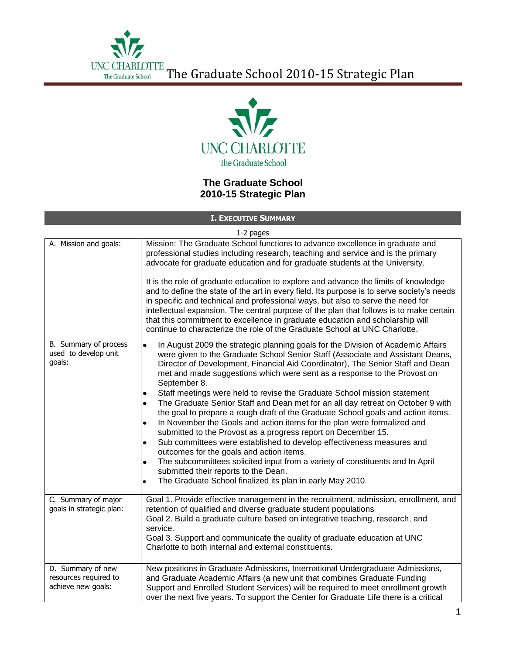

## **The Graduate School 2010-15 Strategic Plan**

**I. EXECUTIVE SUMMARY**

1-2 pages

|                                                                  | $\sim$ $\sim$ $\sim$ $\sim$                                                                                                                                                                                                                                                                                                                                                                                                                                                                                                                                                                                                                                                                                                                                                                                                                                                                                                                                                                                                                                                                                                                   |
|------------------------------------------------------------------|-----------------------------------------------------------------------------------------------------------------------------------------------------------------------------------------------------------------------------------------------------------------------------------------------------------------------------------------------------------------------------------------------------------------------------------------------------------------------------------------------------------------------------------------------------------------------------------------------------------------------------------------------------------------------------------------------------------------------------------------------------------------------------------------------------------------------------------------------------------------------------------------------------------------------------------------------------------------------------------------------------------------------------------------------------------------------------------------------------------------------------------------------|
| A. Mission and goals:                                            | Mission: The Graduate School functions to advance excellence in graduate and<br>professional studies including research, teaching and service and is the primary<br>advocate for graduate education and for graduate students at the University.                                                                                                                                                                                                                                                                                                                                                                                                                                                                                                                                                                                                                                                                                                                                                                                                                                                                                              |
|                                                                  | It is the role of graduate education to explore and advance the limits of knowledge<br>and to define the state of the art in every field. Its purpose is to serve society's needs<br>in specific and technical and professional ways, but also to serve the need for<br>intellectual expansion. The central purpose of the plan that follows is to make certain<br>that this commitment to excellence in graduate education and scholarship will<br>continue to characterize the role of the Graduate School at UNC Charlotte.                                                                                                                                                                                                                                                                                                                                                                                                                                                                                                                                                                                                                |
| B. Summary of process<br>used to develop unit<br>goals:          | In August 2009 the strategic planning goals for the Division of Academic Affairs<br>$\bullet$<br>were given to the Graduate School Senior Staff (Associate and Assistant Deans,<br>Director of Development, Financial Aid Coordinator), The Senior Staff and Dean<br>met and made suggestions which were sent as a response to the Provost on<br>September 8.<br>Staff meetings were held to revise the Graduate School mission statement<br>٠<br>The Graduate Senior Staff and Dean met for an all day retreat on October 9 with<br>$\bullet$<br>the goal to prepare a rough draft of the Graduate School goals and action items.<br>In November the Goals and action items for the plan were formalized and<br>$\bullet$<br>submitted to the Provost as a progress report on December 15.<br>Sub committees were established to develop effectiveness measures and<br>$\bullet$<br>outcomes for the goals and action items.<br>The subcommittees solicited input from a variety of constituents and In April<br>$\bullet$<br>submitted their reports to the Dean.<br>The Graduate School finalized its plan in early May 2010.<br>$\bullet$ |
| C. Summary of major<br>goals in strategic plan:                  | Goal 1. Provide effective management in the recruitment, admission, enrollment, and<br>retention of qualified and diverse graduate student populations<br>Goal 2. Build a graduate culture based on integrative teaching, research, and<br>service.<br>Goal 3. Support and communicate the quality of graduate education at UNC<br>Charlotte to both internal and external constituents.                                                                                                                                                                                                                                                                                                                                                                                                                                                                                                                                                                                                                                                                                                                                                      |
| D. Summary of new<br>resources required to<br>achieve new goals: | New positions in Graduate Admissions, International Undergraduate Admissions,<br>and Graduate Academic Affairs (a new unit that combines Graduate Funding<br>Support and Enrolled Student Services) will be required to meet enrollment growth<br>over the next five years. To support the Center for Graduate Life there is a critical                                                                                                                                                                                                                                                                                                                                                                                                                                                                                                                                                                                                                                                                                                                                                                                                       |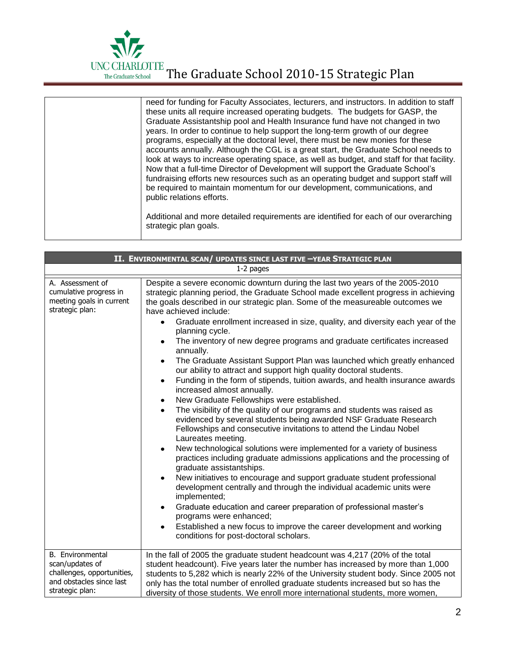

| need for funding for Faculty Associates, lecturers, and instructors. In addition to staff<br>these units all require increased operating budgets. The budgets for GASP, the<br>Graduate Assistantship pool and Health Insurance fund have not changed in two<br>years. In order to continue to help support the long-term growth of our degree<br>programs, especially at the doctoral level, there must be new monies for these<br>accounts annually. Although the CGL is a great start, the Graduate School needs to<br>look at ways to increase operating space, as well as budget, and staff for that facility.<br>Now that a full-time Director of Development will support the Graduate School's<br>fundraising efforts new resources such as an operating budget and support staff will<br>be required to maintain momentum for our development, communications, and<br>public relations efforts.<br>Additional and more detailed requirements are identified for each of our overarching<br>strategic plan goals. |
|---------------------------------------------------------------------------------------------------------------------------------------------------------------------------------------------------------------------------------------------------------------------------------------------------------------------------------------------------------------------------------------------------------------------------------------------------------------------------------------------------------------------------------------------------------------------------------------------------------------------------------------------------------------------------------------------------------------------------------------------------------------------------------------------------------------------------------------------------------------------------------------------------------------------------------------------------------------------------------------------------------------------------|
|                                                                                                                                                                                                                                                                                                                                                                                                                                                                                                                                                                                                                                                                                                                                                                                                                                                                                                                                                                                                                           |

|                                                                                                                  | II. ENVIRONMENTAL SCAN/ UPDATES SINCE LAST FIVE -YEAR STRATEGIC PLAN                                                                                                                                                                                                                                                                                                                                                                                                                                                                                                                                                                                                                                                                                                                                                                                                                                                                                                                                                                                                                                                                                                                                                                                                                                                                                                                                                                                                                                                                                                                                                                                                                                                       |
|------------------------------------------------------------------------------------------------------------------|----------------------------------------------------------------------------------------------------------------------------------------------------------------------------------------------------------------------------------------------------------------------------------------------------------------------------------------------------------------------------------------------------------------------------------------------------------------------------------------------------------------------------------------------------------------------------------------------------------------------------------------------------------------------------------------------------------------------------------------------------------------------------------------------------------------------------------------------------------------------------------------------------------------------------------------------------------------------------------------------------------------------------------------------------------------------------------------------------------------------------------------------------------------------------------------------------------------------------------------------------------------------------------------------------------------------------------------------------------------------------------------------------------------------------------------------------------------------------------------------------------------------------------------------------------------------------------------------------------------------------------------------------------------------------------------------------------------------------|
|                                                                                                                  | 1-2 pages                                                                                                                                                                                                                                                                                                                                                                                                                                                                                                                                                                                                                                                                                                                                                                                                                                                                                                                                                                                                                                                                                                                                                                                                                                                                                                                                                                                                                                                                                                                                                                                                                                                                                                                  |
| A. Assessment of<br>cumulative progress in<br>meeting goals in current<br>strategic plan:                        | Despite a severe economic downturn during the last two years of the 2005-2010<br>strategic planning period, the Graduate School made excellent progress in achieving<br>the goals described in our strategic plan. Some of the measureable outcomes we<br>have achieved include:<br>Graduate enrollment increased in size, quality, and diversity each year of the<br>$\bullet$<br>planning cycle.<br>The inventory of new degree programs and graduate certificates increased<br>annually.<br>The Graduate Assistant Support Plan was launched which greatly enhanced<br>$\bullet$<br>our ability to attract and support high quality doctoral students.<br>Funding in the form of stipends, tuition awards, and health insurance awards<br>$\bullet$<br>increased almost annually.<br>New Graduate Fellowships were established.<br>$\bullet$<br>The visibility of the quality of our programs and students was raised as<br>$\bullet$<br>evidenced by several students being awarded NSF Graduate Research<br>Fellowships and consecutive invitations to attend the Lindau Nobel<br>Laureates meeting.<br>New technological solutions were implemented for a variety of business<br>$\bullet$<br>practices including graduate admissions applications and the processing of<br>graduate assistantships.<br>New initiatives to encourage and support graduate student professional<br>development centrally and through the individual academic units were<br>implemented;<br>Graduate education and career preparation of professional master's<br>$\bullet$<br>programs were enhanced;<br>Established a new focus to improve the career development and working<br>$\bullet$<br>conditions for post-doctoral scholars. |
| B. Environmental<br>scan/updates of<br>challenges, opportunities,<br>and obstacles since last<br>strategic plan: | In the fall of 2005 the graduate student headcount was 4,217 (20% of the total<br>student headcount). Five years later the number has increased by more than 1,000<br>students to 5,282 which is nearly 22% of the University student body. Since 2005 not<br>only has the total number of enrolled graduate students increased but so has the<br>diversity of those students. We enroll more international students, more women,                                                                                                                                                                                                                                                                                                                                                                                                                                                                                                                                                                                                                                                                                                                                                                                                                                                                                                                                                                                                                                                                                                                                                                                                                                                                                          |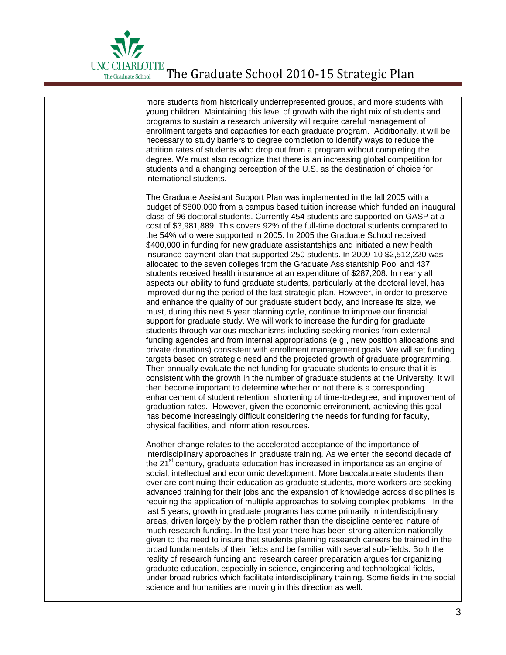

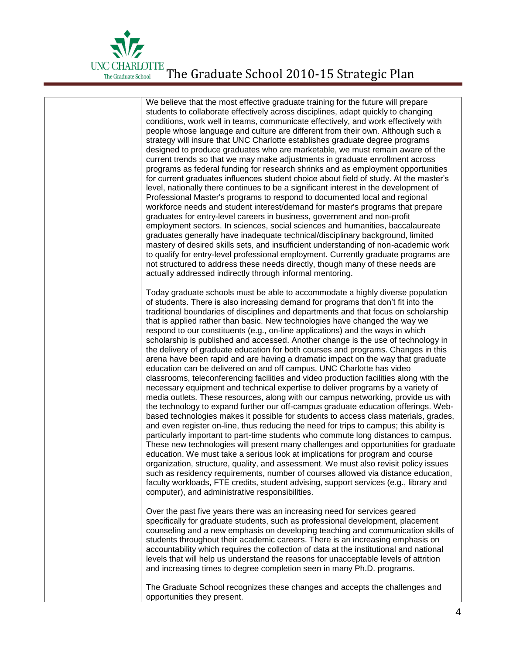

We believe that the most effective graduate training for the future will prepare students to collaborate effectively across disciplines, adapt quickly to changing conditions, work well in teams, communicate effectively, and work effectively with people whose language and culture are different from their own. Although such a strategy will insure that UNC Charlotte establishes graduate degree programs designed to produce graduates who are marketable, we must remain aware of the current trends so that we may make adjustments in graduate enrollment across programs as federal funding for research shrinks and as employment opportunities for current graduates influences student choice about field of study. At the master's level, nationally there continues to be a significant interest in the development of Professional Master's programs to respond to documented local and regional workforce needs and student interest/demand for master's programs that prepare graduates for entry-level careers in business, government and non-profit employment sectors. In sciences, social sciences and humanities, baccalaureate graduates generally have inadequate technical/disciplinary background, limited mastery of desired skills sets, and insufficient understanding of non-academic work to qualify for entry-level professional employment. Currently graduate programs are not structured to address these needs directly, though many of these needs are actually addressed indirectly through informal mentoring. Today graduate schools must be able to accommodate a highly diverse population of students. There is also increasing demand for programs that don't fit into the traditional boundaries of disciplines and departments and that focus on scholarship that is applied rather than basic. New technologies have changed the way we respond to our constituents (e.g., on-line applications) and the ways in which scholarship is published and accessed. Another change is the use of technology in the delivery of graduate education for both courses and programs. Changes in this arena have been rapid and are having a dramatic impact on the way that graduate education can be delivered on and off campus. UNC Charlotte has video classrooms, teleconferencing facilities and video production facilities along with the necessary equipment and technical expertise to deliver programs by a variety of media outlets. These resources, along with our campus networking, provide us with the technology to expand further our off-campus graduate education offerings. Webbased technologies makes it possible for students to access class materials, grades, and even register on-line, thus reducing the need for trips to campus; this ability is particularly important to part-time students who commute long distances to campus. These new technologies will present many challenges and opportunities for graduate education. We must take a serious look at implications for program and course organization, structure, quality, and assessment. We must also revisit policy issues such as residency requirements, number of courses allowed via distance education, faculty workloads, FTE credits, student advising, support services (e.g., library and computer), and administrative responsibilities. Over the past five years there was an increasing need for services geared specifically for graduate students, such as professional development, placement counseling and a new emphasis on developing teaching and communication skills of students throughout their academic careers. There is an increasing emphasis on accountability which requires the collection of data at the institutional and national levels that will help us understand the reasons for unacceptable levels of attrition and increasing times to degree completion seen in many Ph.D. programs. The Graduate School recognizes these changes and accepts the challenges and opportunities they present.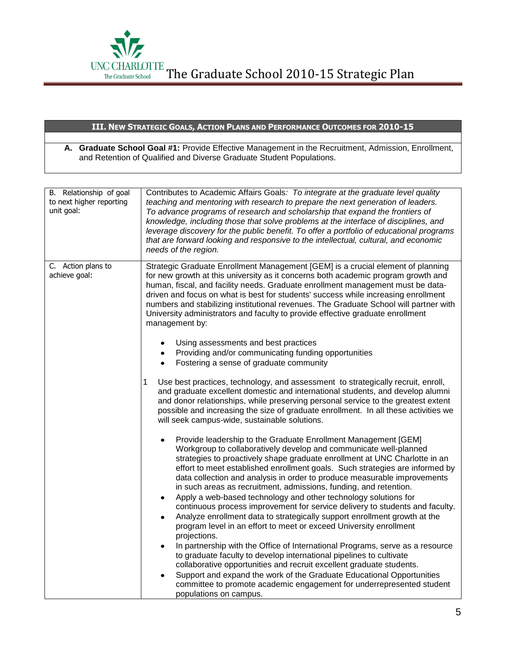

## **III. NEW STRATEGIC GOALS, ACTION PLANS AND PERFORMANCE OUTCOMES FOR 2010-15**

**A. Graduate School Goal #1:** Provide Effective Management in the Recruitment, Admission, Enrollment, and Retention of Qualified and Diverse Graduate Student Populations.

| B. Relationship of goal<br>to next higher reporting<br>unit goal: | Contributes to Academic Affairs Goals: To integrate at the graduate level quality<br>teaching and mentoring with research to prepare the next generation of leaders.<br>To advance programs of research and scholarship that expand the frontiers of<br>knowledge, including those that solve problems at the interface of disciplines, and<br>leverage discovery for the public benefit. To offer a portfolio of educational programs<br>that are forward looking and responsive to the intellectual, cultural, and economic<br>needs of the region.                                                                                                                                                                                                                                              |
|-------------------------------------------------------------------|----------------------------------------------------------------------------------------------------------------------------------------------------------------------------------------------------------------------------------------------------------------------------------------------------------------------------------------------------------------------------------------------------------------------------------------------------------------------------------------------------------------------------------------------------------------------------------------------------------------------------------------------------------------------------------------------------------------------------------------------------------------------------------------------------|
| C. Action plans to<br>achieve goal:                               | Strategic Graduate Enrollment Management [GEM] is a crucial element of planning<br>for new growth at this university as it concerns both academic program growth and<br>human, fiscal, and facility needs. Graduate enrollment management must be data-<br>driven and focus on what is best for students' success while increasing enrollment<br>numbers and stabilizing institutional revenues. The Graduate School will partner with<br>University administrators and faculty to provide effective graduate enrollment<br>management by:<br>Using assessments and best practices<br>$\bullet$                                                                                                                                                                                                    |
|                                                                   | Providing and/or communicating funding opportunities<br>$\bullet$<br>Fostering a sense of graduate community<br>$\bullet$                                                                                                                                                                                                                                                                                                                                                                                                                                                                                                                                                                                                                                                                          |
|                                                                   | Use best practices, technology, and assessment to strategically recruit, enroll,<br>1<br>and graduate excellent domestic and international students, and develop alumni<br>and donor relationships, while preserving personal service to the greatest extent<br>possible and increasing the size of graduate enrollment. In all these activities we<br>will seek campus-wide, sustainable solutions.                                                                                                                                                                                                                                                                                                                                                                                               |
|                                                                   | Provide leadership to the Graduate Enrollment Management [GEM]<br>Workgroup to collaboratively develop and communicate well-planned<br>strategies to proactively shape graduate enrollment at UNC Charlotte in an<br>effort to meet established enrollment goals. Such strategies are informed by<br>data collection and analysis in order to produce measurable improvements<br>in such areas as recruitment, admissions, funding, and retention.<br>Apply a web-based technology and other technology solutions for<br>$\bullet$<br>continuous process improvement for service delivery to students and faculty.<br>Analyze enrollment data to strategically support enrollment growth at the<br>$\bullet$<br>program level in an effort to meet or exceed University enrollment<br>projections. |
|                                                                   | In partnership with the Office of International Programs, serve as a resource<br>$\bullet$<br>to graduate faculty to develop international pipelines to cultivate<br>collaborative opportunities and recruit excellent graduate students.                                                                                                                                                                                                                                                                                                                                                                                                                                                                                                                                                          |
|                                                                   | Support and expand the work of the Graduate Educational Opportunities<br>committee to promote academic engagement for underrepresented student<br>populations on campus.                                                                                                                                                                                                                                                                                                                                                                                                                                                                                                                                                                                                                           |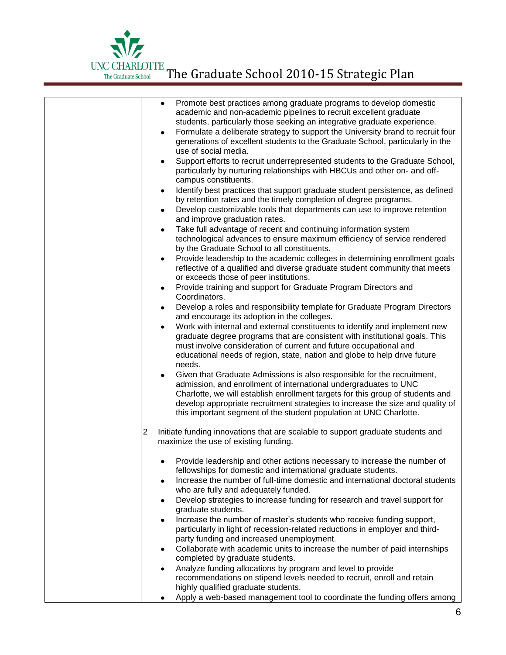| Promote best practices among graduate programs to develop domestic<br>$\bullet$<br>academic and non-academic pipelines to recruit excellent graduate<br>students, particularly those seeking an integrative graduate experience.<br>Formulate a deliberate strategy to support the University brand to recruit four<br>generations of excellent students to the Graduate School, particularly in the<br>use of social media.<br>Support efforts to recruit underrepresented students to the Graduate School,<br>$\bullet$<br>particularly by nurturing relationships with HBCUs and other on- and off-<br>campus constituents.<br>Identify best practices that support graduate student persistence, as defined<br>$\bullet$<br>by retention rates and the timely completion of degree programs.<br>Develop customizable tools that departments can use to improve retention<br>$\bullet$<br>and improve graduation rates.<br>Take full advantage of recent and continuing information system<br>$\bullet$<br>technological advances to ensure maximum efficiency of service rendered<br>by the Graduate School to all constituents.<br>Provide leadership to the academic colleges in determining enrollment goals<br>$\bullet$<br>reflective of a qualified and diverse graduate student community that meets<br>or exceeds those of peer institutions.<br>Provide training and support for Graduate Program Directors and<br>$\bullet$<br>Coordinators.<br>Develop a roles and responsibility template for Graduate Program Directors<br>$\bullet$<br>and encourage its adoption in the colleges.<br>Work with internal and external constituents to identify and implement new<br>$\bullet$<br>graduate degree programs that are consistent with institutional goals. This<br>must involve consideration of current and future occupational and<br>educational needs of region, state, nation and globe to help drive future<br>needs.<br>Given that Graduate Admissions is also responsible for the recruitment,<br>admission, and enrollment of international undergraduates to UNC<br>Charlotte, we will establish enrollment targets for this group of students and |
|-----------------------------------------------------------------------------------------------------------------------------------------------------------------------------------------------------------------------------------------------------------------------------------------------------------------------------------------------------------------------------------------------------------------------------------------------------------------------------------------------------------------------------------------------------------------------------------------------------------------------------------------------------------------------------------------------------------------------------------------------------------------------------------------------------------------------------------------------------------------------------------------------------------------------------------------------------------------------------------------------------------------------------------------------------------------------------------------------------------------------------------------------------------------------------------------------------------------------------------------------------------------------------------------------------------------------------------------------------------------------------------------------------------------------------------------------------------------------------------------------------------------------------------------------------------------------------------------------------------------------------------------------------------------------------------------------------------------------------------------------------------------------------------------------------------------------------------------------------------------------------------------------------------------------------------------------------------------------------------------------------------------------------------------------------------------------------------------------------------------------------------------------------------------------------|
| develop appropriate recruitment strategies to increase the size and quality of                                                                                                                                                                                                                                                                                                                                                                                                                                                                                                                                                                                                                                                                                                                                                                                                                                                                                                                                                                                                                                                                                                                                                                                                                                                                                                                                                                                                                                                                                                                                                                                                                                                                                                                                                                                                                                                                                                                                                                                                                                                                                              |
| this important segment of the student population at UNC Charlotte.                                                                                                                                                                                                                                                                                                                                                                                                                                                                                                                                                                                                                                                                                                                                                                                                                                                                                                                                                                                                                                                                                                                                                                                                                                                                                                                                                                                                                                                                                                                                                                                                                                                                                                                                                                                                                                                                                                                                                                                                                                                                                                          |
| $\overline{2}$<br>Initiate funding innovations that are scalable to support graduate students and                                                                                                                                                                                                                                                                                                                                                                                                                                                                                                                                                                                                                                                                                                                                                                                                                                                                                                                                                                                                                                                                                                                                                                                                                                                                                                                                                                                                                                                                                                                                                                                                                                                                                                                                                                                                                                                                                                                                                                                                                                                                           |
| maximize the use of existing funding.                                                                                                                                                                                                                                                                                                                                                                                                                                                                                                                                                                                                                                                                                                                                                                                                                                                                                                                                                                                                                                                                                                                                                                                                                                                                                                                                                                                                                                                                                                                                                                                                                                                                                                                                                                                                                                                                                                                                                                                                                                                                                                                                       |
| Provide leadership and other actions necessary to increase the number of<br>fellowships for domestic and international graduate students.<br>Increase the number of full-time domestic and international doctoral students<br>who are fully and adequately funded.                                                                                                                                                                                                                                                                                                                                                                                                                                                                                                                                                                                                                                                                                                                                                                                                                                                                                                                                                                                                                                                                                                                                                                                                                                                                                                                                                                                                                                                                                                                                                                                                                                                                                                                                                                                                                                                                                                          |
| Develop strategies to increase funding for research and travel support for<br>٠<br>graduate students.                                                                                                                                                                                                                                                                                                                                                                                                                                                                                                                                                                                                                                                                                                                                                                                                                                                                                                                                                                                                                                                                                                                                                                                                                                                                                                                                                                                                                                                                                                                                                                                                                                                                                                                                                                                                                                                                                                                                                                                                                                                                       |
| Increase the number of master's students who receive funding support,<br>$\bullet$<br>particularly in light of recession-related reductions in employer and third-<br>party funding and increased unemployment.                                                                                                                                                                                                                                                                                                                                                                                                                                                                                                                                                                                                                                                                                                                                                                                                                                                                                                                                                                                                                                                                                                                                                                                                                                                                                                                                                                                                                                                                                                                                                                                                                                                                                                                                                                                                                                                                                                                                                             |
| Collaborate with academic units to increase the number of paid internships                                                                                                                                                                                                                                                                                                                                                                                                                                                                                                                                                                                                                                                                                                                                                                                                                                                                                                                                                                                                                                                                                                                                                                                                                                                                                                                                                                                                                                                                                                                                                                                                                                                                                                                                                                                                                                                                                                                                                                                                                                                                                                  |
| completed by graduate students.                                                                                                                                                                                                                                                                                                                                                                                                                                                                                                                                                                                                                                                                                                                                                                                                                                                                                                                                                                                                                                                                                                                                                                                                                                                                                                                                                                                                                                                                                                                                                                                                                                                                                                                                                                                                                                                                                                                                                                                                                                                                                                                                             |
| Analyze funding allocations by program and level to provide<br>recommendations on stipend levels needed to recruit, enroll and retain<br>highly qualified graduate students.                                                                                                                                                                                                                                                                                                                                                                                                                                                                                                                                                                                                                                                                                                                                                                                                                                                                                                                                                                                                                                                                                                                                                                                                                                                                                                                                                                                                                                                                                                                                                                                                                                                                                                                                                                                                                                                                                                                                                                                                |
| Apply a web-based management tool to coordinate the funding offers among                                                                                                                                                                                                                                                                                                                                                                                                                                                                                                                                                                                                                                                                                                                                                                                                                                                                                                                                                                                                                                                                                                                                                                                                                                                                                                                                                                                                                                                                                                                                                                                                                                                                                                                                                                                                                                                                                                                                                                                                                                                                                                    |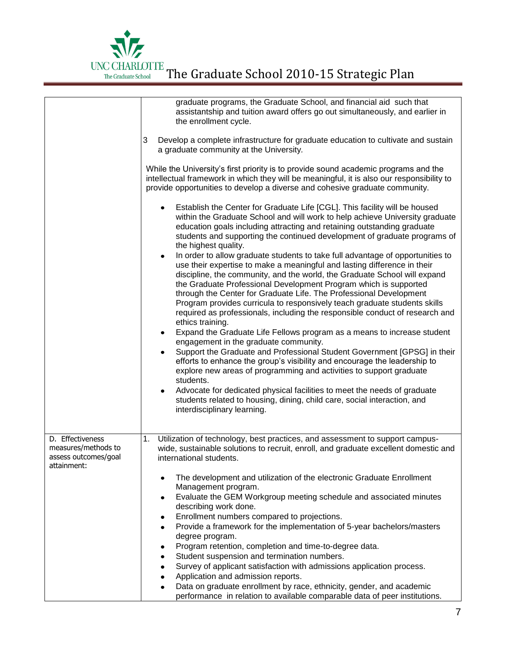

|                                                                 | graduate programs, the Graduate School, and financial aid such that<br>assistantship and tuition award offers go out simultaneously, and earlier in<br>the enrollment cycle.<br>3<br>Develop a complete infrastructure for graduate education to cultivate and sustain<br>a graduate community at the University.<br>While the University's first priority is to provide sound academic programs and the<br>intellectual framework in which they will be meaningful, it is also our responsibility to<br>provide opportunities to develop a diverse and cohesive graduate community.<br>Establish the Center for Graduate Life [CGL]. This facility will be housed<br>٠<br>within the Graduate School and will work to help achieve University graduate<br>education goals including attracting and retaining outstanding graduate<br>students and supporting the continued development of graduate programs of<br>the highest quality.<br>In order to allow graduate students to take full advantage of opportunities to<br>use their expertise to make a meaningful and lasting difference in their<br>discipline, the community, and the world, the Graduate School will expand<br>the Graduate Professional Development Program which is supported<br>through the Center for Graduate Life. The Professional Development<br>Program provides curricula to responsively teach graduate students skills<br>required as professionals, including the responsible conduct of research and<br>ethics training.<br>Expand the Graduate Life Fellows program as a means to increase student<br>$\bullet$<br>engagement in the graduate community.<br>Support the Graduate and Professional Student Government [GPSG] in their<br>$\bullet$<br>efforts to enhance the group's visibility and encourage the leadership to<br>explore new areas of programming and activities to support graduate<br>students.<br>Advocate for dedicated physical facilities to meet the needs of graduate<br>$\bullet$<br>students related to housing, dining, child care, social interaction, and<br>interdisciplinary learning. |
|-----------------------------------------------------------------|--------------------------------------------------------------------------------------------------------------------------------------------------------------------------------------------------------------------------------------------------------------------------------------------------------------------------------------------------------------------------------------------------------------------------------------------------------------------------------------------------------------------------------------------------------------------------------------------------------------------------------------------------------------------------------------------------------------------------------------------------------------------------------------------------------------------------------------------------------------------------------------------------------------------------------------------------------------------------------------------------------------------------------------------------------------------------------------------------------------------------------------------------------------------------------------------------------------------------------------------------------------------------------------------------------------------------------------------------------------------------------------------------------------------------------------------------------------------------------------------------------------------------------------------------------------------------------------------------------------------------------------------------------------------------------------------------------------------------------------------------------------------------------------------------------------------------------------------------------------------------------------------------------------------------------------------------------------------------------------------------------------------------------------------------------------------------------------------------------------|
| D. Effectiveness<br>measures/methods to<br>assess outcomes/goal | 1.<br>Utilization of technology, best practices, and assessment to support campus-<br>wide, sustainable solutions to recruit, enroll, and graduate excellent domestic and<br>international students.                                                                                                                                                                                                                                                                                                                                                                                                                                                                                                                                                                                                                                                                                                                                                                                                                                                                                                                                                                                                                                                                                                                                                                                                                                                                                                                                                                                                                                                                                                                                                                                                                                                                                                                                                                                                                                                                                                         |
| attainment:                                                     | The development and utilization of the electronic Graduate Enrollment<br>$\bullet$<br>Management program.<br>Evaluate the GEM Workgroup meeting schedule and associated minutes<br>٠<br>describing work done.<br>Enrollment numbers compared to projections.<br>٠<br>Provide a framework for the implementation of 5-year bachelors/masters<br>$\bullet$<br>degree program.<br>Program retention, completion and time-to-degree data.<br>٠<br>Student suspension and termination numbers.<br>٠<br>Survey of applicant satisfaction with admissions application process.<br>٠<br>Application and admission reports.<br>٠<br>Data on graduate enrollment by race, ethnicity, gender, and academic<br>$\bullet$<br>performance in relation to available comparable data of peer institutions.                                                                                                                                                                                                                                                                                                                                                                                                                                                                                                                                                                                                                                                                                                                                                                                                                                                                                                                                                                                                                                                                                                                                                                                                                                                                                                                   |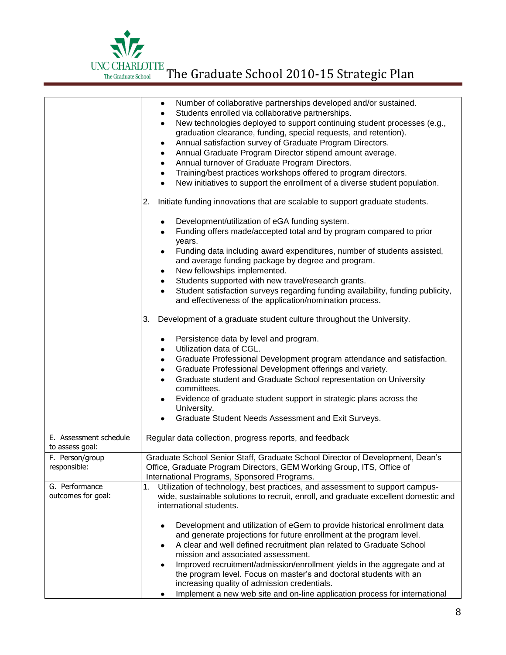

|                                           | Number of collaborative partnerships developed and/or sustained.<br>٠<br>Students enrolled via collaborative partnerships.<br>٠<br>New technologies deployed to support continuing student processes (e.g.,<br>$\bullet$<br>graduation clearance, funding, special requests, and retention).<br>Annual satisfaction survey of Graduate Program Directors.<br>٠<br>Annual Graduate Program Director stipend amount average.<br>٠<br>Annual turnover of Graduate Program Directors.<br>$\bullet$<br>Training/best practices workshops offered to program directors.<br>$\bullet$<br>New initiatives to support the enrollment of a diverse student population.<br>$\bullet$<br>Initiate funding innovations that are scalable to support graduate students.<br>2.<br>Development/utilization of eGA funding system.<br>Funding offers made/accepted total and by program compared to prior<br>years.<br>Funding data including award expenditures, number of students assisted,<br>and average funding package by degree and program.<br>New fellowships implemented.<br>٠<br>Students supported with new travel/research grants.<br>$\bullet$ |
|-------------------------------------------|----------------------------------------------------------------------------------------------------------------------------------------------------------------------------------------------------------------------------------------------------------------------------------------------------------------------------------------------------------------------------------------------------------------------------------------------------------------------------------------------------------------------------------------------------------------------------------------------------------------------------------------------------------------------------------------------------------------------------------------------------------------------------------------------------------------------------------------------------------------------------------------------------------------------------------------------------------------------------------------------------------------------------------------------------------------------------------------------------------------------------------------------|
|                                           | Student satisfaction surveys regarding funding availability, funding publicity,<br>and effectiveness of the application/nomination process.                                                                                                                                                                                                                                                                                                                                                                                                                                                                                                                                                                                                                                                                                                                                                                                                                                                                                                                                                                                                  |
|                                           | Development of a graduate student culture throughout the University.<br>3.                                                                                                                                                                                                                                                                                                                                                                                                                                                                                                                                                                                                                                                                                                                                                                                                                                                                                                                                                                                                                                                                   |
|                                           | Persistence data by level and program.<br>$\bullet$<br>Utilization data of CGL.<br>$\bullet$<br>Graduate Professional Development program attendance and satisfaction.<br>$\bullet$<br>Graduate Professional Development offerings and variety.<br>$\bullet$<br>Graduate student and Graduate School representation on University<br>$\bullet$<br>committees.<br>Evidence of graduate student support in strategic plans across the<br>$\bullet$<br>University.<br>Graduate Student Needs Assessment and Exit Surveys.                                                                                                                                                                                                                                                                                                                                                                                                                                                                                                                                                                                                                       |
| E. Assessment schedule<br>to assess goal: | Regular data collection, progress reports, and feedback                                                                                                                                                                                                                                                                                                                                                                                                                                                                                                                                                                                                                                                                                                                                                                                                                                                                                                                                                                                                                                                                                      |
| F. Person/group<br>responsible:           | Graduate School Senior Staff, Graduate School Director of Development, Dean's<br>Office, Graduate Program Directors, GEM Working Group, ITS, Office of<br>International Programs, Sponsored Programs.                                                                                                                                                                                                                                                                                                                                                                                                                                                                                                                                                                                                                                                                                                                                                                                                                                                                                                                                        |
| G. Performance<br>outcomes for goal:      | Utilization of technology, best practices, and assessment to support campus-<br>1.<br>wide, sustainable solutions to recruit, enroll, and graduate excellent domestic and<br>international students.                                                                                                                                                                                                                                                                                                                                                                                                                                                                                                                                                                                                                                                                                                                                                                                                                                                                                                                                         |
|                                           | Development and utilization of eGem to provide historical enrollment data<br>and generate projections for future enrollment at the program level.<br>A clear and well defined recruitment plan related to Graduate School<br>٠<br>mission and associated assessment.<br>Improved recruitment/admission/enrollment yields in the aggregate and at<br>the program level. Focus on master's and doctoral students with an<br>increasing quality of admission credentials.<br>Implement a new web site and on-line application process for international<br>٠                                                                                                                                                                                                                                                                                                                                                                                                                                                                                                                                                                                    |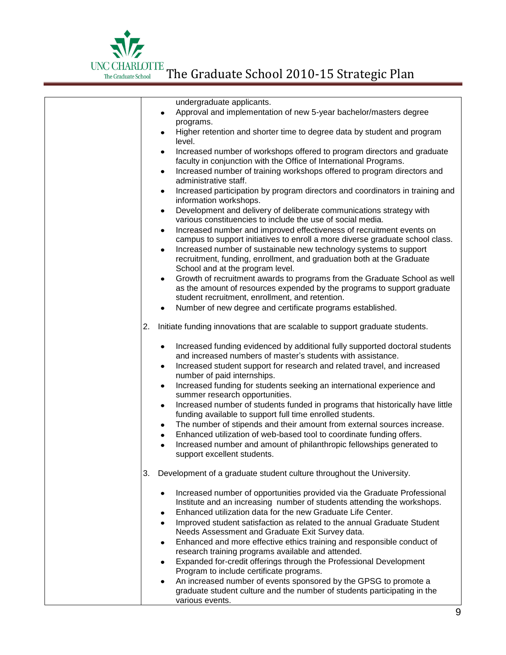

|    | undergraduate applicants.                                                                                                                                                                                            |
|----|----------------------------------------------------------------------------------------------------------------------------------------------------------------------------------------------------------------------|
|    | Approval and implementation of new 5-year bachelor/masters degree                                                                                                                                                    |
|    | programs.                                                                                                                                                                                                            |
|    | Higher retention and shorter time to degree data by student and program<br>level.                                                                                                                                    |
|    | Increased number of workshops offered to program directors and graduate<br>$\bullet$                                                                                                                                 |
|    | faculty in conjunction with the Office of International Programs.                                                                                                                                                    |
|    | Increased number of training workshops offered to program directors and<br>$\bullet$<br>administrative staff.                                                                                                        |
|    | Increased participation by program directors and coordinators in training and<br>$\bullet$                                                                                                                           |
|    | information workshops.                                                                                                                                                                                               |
|    | Development and delivery of deliberate communications strategy with<br>$\bullet$<br>various constituencies to include the use of social media.                                                                       |
|    |                                                                                                                                                                                                                      |
|    | Increased number and improved effectiveness of recruitment events on<br>$\bullet$<br>campus to support initiatives to enroll a more diverse graduate school class.                                                   |
|    | Increased number of sustainable new technology systems to support<br>$\bullet$                                                                                                                                       |
|    | recruitment, funding, enrollment, and graduation both at the Graduate                                                                                                                                                |
|    | School and at the program level.                                                                                                                                                                                     |
|    | Growth of recruitment awards to programs from the Graduate School as well<br>$\bullet$<br>as the amount of resources expended by the programs to support graduate<br>student recruitment, enrollment, and retention. |
|    | Number of new degree and certificate programs established.                                                                                                                                                           |
|    |                                                                                                                                                                                                                      |
| 2. | Initiate funding innovations that are scalable to support graduate students.                                                                                                                                         |
|    | Increased funding evidenced by additional fully supported doctoral students<br>$\bullet$                                                                                                                             |
|    | and increased numbers of master's students with assistance.                                                                                                                                                          |
|    | Increased student support for research and related travel, and increased<br>٠<br>number of paid internships.                                                                                                         |
|    | Increased funding for students seeking an international experience and<br>٠<br>summer research opportunities.                                                                                                        |
|    | Increased number of students funded in programs that historically have little<br>$\bullet$<br>funding available to support full time enrolled students.                                                              |
|    | The number of stipends and their amount from external sources increase.<br>٠                                                                                                                                         |
|    | Enhanced utilization of web-based tool to coordinate funding offers.<br>$\bullet$                                                                                                                                    |
|    | Increased number and amount of philanthropic fellowships generated to                                                                                                                                                |
|    | support excellent students.                                                                                                                                                                                          |
| 3. | Development of a graduate student culture throughout the University.                                                                                                                                                 |
|    | Increased number of opportunities provided via the Graduate Professional<br>٠                                                                                                                                        |
|    | Institute and an increasing number of students attending the workshops.                                                                                                                                              |
|    | Enhanced utilization data for the new Graduate Life Center.<br>٠                                                                                                                                                     |
|    | Improved student satisfaction as related to the annual Graduate Student<br>$\bullet$<br>Needs Assessment and Graduate Exit Survey data.                                                                              |
|    | Enhanced and more effective ethics training and responsible conduct of<br>$\bullet$                                                                                                                                  |
|    | research training programs available and attended.                                                                                                                                                                   |
|    | Expanded for-credit offerings through the Professional Development<br>٠<br>Program to include certificate programs.                                                                                                  |
|    | An increased number of events sponsored by the GPSG to promote a<br>٠                                                                                                                                                |
|    | graduate student culture and the number of students participating in the                                                                                                                                             |
|    | various events.                                                                                                                                                                                                      |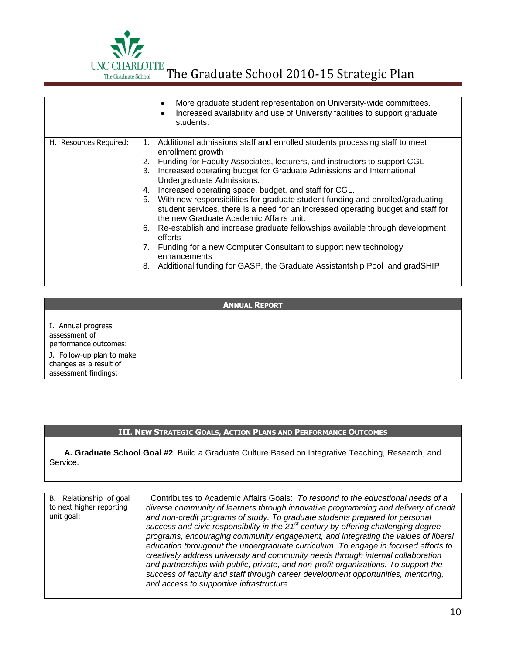

|                        | More graduate student representation on University-wide committees.<br>Increased availability and use of University facilities to support graduate<br>students.                                                                                                                                                                                                                                                                                                                                                                                                                                                                                                                                                                                                                                                                                                         |
|------------------------|-------------------------------------------------------------------------------------------------------------------------------------------------------------------------------------------------------------------------------------------------------------------------------------------------------------------------------------------------------------------------------------------------------------------------------------------------------------------------------------------------------------------------------------------------------------------------------------------------------------------------------------------------------------------------------------------------------------------------------------------------------------------------------------------------------------------------------------------------------------------------|
| H. Resources Required: | Additional admissions staff and enrolled students processing staff to meet<br>1.<br>enrollment growth<br>Funding for Faculty Associates, lecturers, and instructors to support CGL<br>2.<br>Increased operating budget for Graduate Admissions and International<br>3.<br>Undergraduate Admissions.<br>Increased operating space, budget, and staff for CGL.<br>4.<br>With new responsibilities for graduate student funding and enrolled/graduating<br>5.<br>student services, there is a need for an increased operating budget and staff for<br>the new Graduate Academic Affairs unit.<br>Re-establish and increase graduate fellowships available through development<br>6.<br>efforts<br>Funding for a new Computer Consultant to support new technology<br>7.<br>enhancements<br>Additional funding for GASP, the Graduate Assistantship Pool and gradSHIP<br>8. |
|                        |                                                                                                                                                                                                                                                                                                                                                                                                                                                                                                                                                                                                                                                                                                                                                                                                                                                                         |

| <b>ANNUAL REPORT</b>                                                        |  |
|-----------------------------------------------------------------------------|--|
|                                                                             |  |
| I. Annual progress<br>assessment of<br>performance outcomes:                |  |
| J. Follow-up plan to make<br>changes as a result of<br>assessment findings: |  |

## **III. NEW STRATEGIC GOALS, ACTION PLANS AND PERFORMANCE OUTCOMES**

**A. Graduate School Goal #2**: Build a Graduate Culture Based on Integrative Teaching, Research, and Service.

| B. Relationship of goal<br>to next higher reporting<br>unit goal: | Contributes to Academic Affairs Goals: To respond to the educational needs of a<br>diverse community of learners through innovative programming and delivery of credit<br>and non-credit programs of study. To graduate students prepared for personal<br>success and civic responsibility in the 21 <sup>st</sup> century by offering challenging degree<br>programs, encouraging community engagement, and integrating the values of liberal<br>education throughout the undergraduate curriculum. To engage in focused efforts to<br>creatively address university and community needs through internal collaboration<br>and partnerships with public, private, and non-profit organizations. To support the<br>success of faculty and staff through career development opportunities, mentoring,<br>and access to supportive infrastructure. |
|-------------------------------------------------------------------|--------------------------------------------------------------------------------------------------------------------------------------------------------------------------------------------------------------------------------------------------------------------------------------------------------------------------------------------------------------------------------------------------------------------------------------------------------------------------------------------------------------------------------------------------------------------------------------------------------------------------------------------------------------------------------------------------------------------------------------------------------------------------------------------------------------------------------------------------|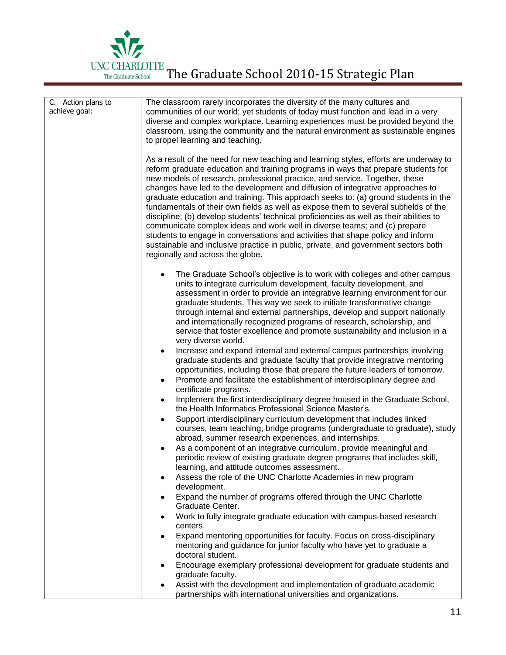

| C. Action plans to<br>achieve goal: | The classroom rarely incorporates the diversity of the many cultures and<br>communities of our world; yet students of today must function and lead in a very<br>diverse and complex workplace. Learning experiences must be provided beyond the<br>classroom, using the community and the natural environment as sustainable engines<br>to propel learning and teaching.<br>As a result of the need for new teaching and learning styles, efforts are underway to<br>reform graduate education and training programs in ways that prepare students for<br>new models of research, professional practice, and service. Together, these<br>changes have led to the development and diffusion of integrative approaches to<br>graduate education and training. This approach seeks to: (a) ground students in the<br>fundamentals of their own fields as well as expose them to several subfields of the<br>discipline; (b) develop students' technical proficiencies as well as their abilities to<br>communicate complex ideas and work well in diverse teams; and (c) prepare<br>students to engage in conversations and activities that shape policy and inform<br>sustainable and inclusive practice in public, private, and government sectors both |
|-------------------------------------|--------------------------------------------------------------------------------------------------------------------------------------------------------------------------------------------------------------------------------------------------------------------------------------------------------------------------------------------------------------------------------------------------------------------------------------------------------------------------------------------------------------------------------------------------------------------------------------------------------------------------------------------------------------------------------------------------------------------------------------------------------------------------------------------------------------------------------------------------------------------------------------------------------------------------------------------------------------------------------------------------------------------------------------------------------------------------------------------------------------------------------------------------------------------------------------------------------------------------------------------------------|
|                                     | regionally and across the globe.                                                                                                                                                                                                                                                                                                                                                                                                                                                                                                                                                                                                                                                                                                                                                                                                                                                                                                                                                                                                                                                                                                                                                                                                                       |
|                                     | The Graduate School's objective is to work with colleges and other campus<br>$\bullet$<br>units to integrate curriculum development, faculty development, and<br>assessment in order to provide an integrative learning environment for our<br>graduate students. This way we seek to initiate transformative change<br>through internal and external partnerships, develop and support nationally<br>and internationally recognized programs of research, scholarship, and<br>service that foster excellence and promote sustainability and inclusion in a                                                                                                                                                                                                                                                                                                                                                                                                                                                                                                                                                                                                                                                                                            |
|                                     | very diverse world.                                                                                                                                                                                                                                                                                                                                                                                                                                                                                                                                                                                                                                                                                                                                                                                                                                                                                                                                                                                                                                                                                                                                                                                                                                    |
|                                     | Increase and expand internal and external campus partnerships involving<br>٠<br>graduate students and graduate faculty that provide integrative mentoring<br>opportunities, including those that prepare the future leaders of tomorrow.                                                                                                                                                                                                                                                                                                                                                                                                                                                                                                                                                                                                                                                                                                                                                                                                                                                                                                                                                                                                               |
|                                     | Promote and facilitate the establishment of interdisciplinary degree and<br>$\bullet$<br>certificate programs.                                                                                                                                                                                                                                                                                                                                                                                                                                                                                                                                                                                                                                                                                                                                                                                                                                                                                                                                                                                                                                                                                                                                         |
|                                     | Implement the first interdisciplinary degree housed in the Graduate School,<br>$\bullet$<br>the Health Informatics Professional Science Master's.                                                                                                                                                                                                                                                                                                                                                                                                                                                                                                                                                                                                                                                                                                                                                                                                                                                                                                                                                                                                                                                                                                      |
|                                     | Support interdisciplinary curriculum development that includes linked<br>$\bullet$<br>courses, team teaching, bridge programs (undergraduate to graduate), study<br>abroad, summer research experiences, and internships.                                                                                                                                                                                                                                                                                                                                                                                                                                                                                                                                                                                                                                                                                                                                                                                                                                                                                                                                                                                                                              |
|                                     | As a component of an integrative curriculum, provide meaningful and<br>$\bullet$<br>periodic review of existing graduate degree programs that includes skill,<br>learning, and attitude outcomes assessment.                                                                                                                                                                                                                                                                                                                                                                                                                                                                                                                                                                                                                                                                                                                                                                                                                                                                                                                                                                                                                                           |
|                                     | Assess the role of the UNC Charlotte Academies in new program<br>٠<br>development.                                                                                                                                                                                                                                                                                                                                                                                                                                                                                                                                                                                                                                                                                                                                                                                                                                                                                                                                                                                                                                                                                                                                                                     |
|                                     | Expand the number of programs offered through the UNC Charlotte<br>٠<br>Graduate Center.                                                                                                                                                                                                                                                                                                                                                                                                                                                                                                                                                                                                                                                                                                                                                                                                                                                                                                                                                                                                                                                                                                                                                               |
|                                     | Work to fully integrate graduate education with campus-based research<br>٠                                                                                                                                                                                                                                                                                                                                                                                                                                                                                                                                                                                                                                                                                                                                                                                                                                                                                                                                                                                                                                                                                                                                                                             |
|                                     | centers.<br>Expand mentoring opportunities for faculty. Focus on cross-disciplinary                                                                                                                                                                                                                                                                                                                                                                                                                                                                                                                                                                                                                                                                                                                                                                                                                                                                                                                                                                                                                                                                                                                                                                    |
|                                     | mentoring and guidance for junior faculty who have yet to graduate a<br>doctoral student.                                                                                                                                                                                                                                                                                                                                                                                                                                                                                                                                                                                                                                                                                                                                                                                                                                                                                                                                                                                                                                                                                                                                                              |
|                                     | Encourage exemplary professional development for graduate students and<br>٠<br>graduate faculty.                                                                                                                                                                                                                                                                                                                                                                                                                                                                                                                                                                                                                                                                                                                                                                                                                                                                                                                                                                                                                                                                                                                                                       |
|                                     | Assist with the development and implementation of graduate academic<br>partnerships with international universities and organizations.                                                                                                                                                                                                                                                                                                                                                                                                                                                                                                                                                                                                                                                                                                                                                                                                                                                                                                                                                                                                                                                                                                                 |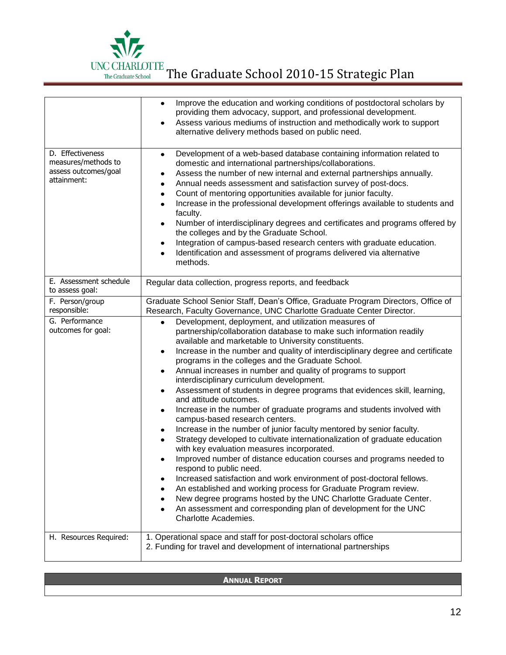

|                                                                                | Improve the education and working conditions of postdoctoral scholars by<br>$\bullet$<br>providing them advocacy, support, and professional development.<br>Assess various mediums of instruction and methodically work to support<br>$\bullet$<br>alternative delivery methods based on public need.                                                                                                                                                                                                                                                                                                                                                                                                                                                                                                                                                                                                                                                                                                                                                                                                                                                                                                                                                                                                                                    |
|--------------------------------------------------------------------------------|------------------------------------------------------------------------------------------------------------------------------------------------------------------------------------------------------------------------------------------------------------------------------------------------------------------------------------------------------------------------------------------------------------------------------------------------------------------------------------------------------------------------------------------------------------------------------------------------------------------------------------------------------------------------------------------------------------------------------------------------------------------------------------------------------------------------------------------------------------------------------------------------------------------------------------------------------------------------------------------------------------------------------------------------------------------------------------------------------------------------------------------------------------------------------------------------------------------------------------------------------------------------------------------------------------------------------------------|
| D. Effectiveness<br>measures/methods to<br>assess outcomes/goal<br>attainment: | Development of a web-based database containing information related to<br>$\bullet$<br>domestic and international partnerships/collaborations.<br>Assess the number of new internal and external partnerships annually.<br>٠<br>Annual needs assessment and satisfaction survey of post-docs.<br>٠<br>Count of mentoring opportunities available for junior faculty.<br>$\bullet$<br>Increase in the professional development offerings available to students and<br>$\bullet$<br>faculty.<br>Number of interdisciplinary degrees and certificates and programs offered by<br>$\bullet$<br>the colleges and by the Graduate School.<br>Integration of campus-based research centers with graduate education.<br>٠<br>Identification and assessment of programs delivered via alternative<br>$\bullet$<br>methods.                                                                                                                                                                                                                                                                                                                                                                                                                                                                                                                         |
| E. Assessment schedule<br>to assess goal:                                      | Regular data collection, progress reports, and feedback                                                                                                                                                                                                                                                                                                                                                                                                                                                                                                                                                                                                                                                                                                                                                                                                                                                                                                                                                                                                                                                                                                                                                                                                                                                                                  |
| F. Person/group<br>responsible:                                                | Graduate School Senior Staff, Dean's Office, Graduate Program Directors, Office of<br>Research, Faculty Governance, UNC Charlotte Graduate Center Director.                                                                                                                                                                                                                                                                                                                                                                                                                                                                                                                                                                                                                                                                                                                                                                                                                                                                                                                                                                                                                                                                                                                                                                              |
| G. Performance<br>outcomes for goal:                                           | Development, deployment, and utilization measures of<br>$\bullet$<br>partnership/collaboration database to make such information readily<br>available and marketable to University constituents.<br>Increase in the number and quality of interdisciplinary degree and certificate<br>$\bullet$<br>programs in the colleges and the Graduate School.<br>Annual increases in number and quality of programs to support<br>٠<br>interdisciplinary curriculum development.<br>Assessment of students in degree programs that evidences skill, learning,<br>$\bullet$<br>and attitude outcomes.<br>Increase in the number of graduate programs and students involved with<br>٠<br>campus-based research centers.<br>Increase in the number of junior faculty mentored by senior faculty.<br>٠<br>Strategy developed to cultivate internationalization of graduate education<br>٠<br>with key evaluation measures incorporated.<br>Improved number of distance education courses and programs needed to<br>respond to public need.<br>Increased satisfaction and work environment of post-doctoral fellows.<br>An established and working process for Graduate Program review.<br>New degree programs hosted by the UNC Charlotte Graduate Center.<br>An assessment and corresponding plan of development for the UNC<br>Charlotte Academies. |
| H. Resources Required:                                                         | 1. Operational space and staff for post-doctoral scholars office<br>2. Funding for travel and development of international partnerships                                                                                                                                                                                                                                                                                                                                                                                                                                                                                                                                                                                                                                                                                                                                                                                                                                                                                                                                                                                                                                                                                                                                                                                                  |

| <b>ANNUAL REPORT</b> |
|----------------------|
|                      |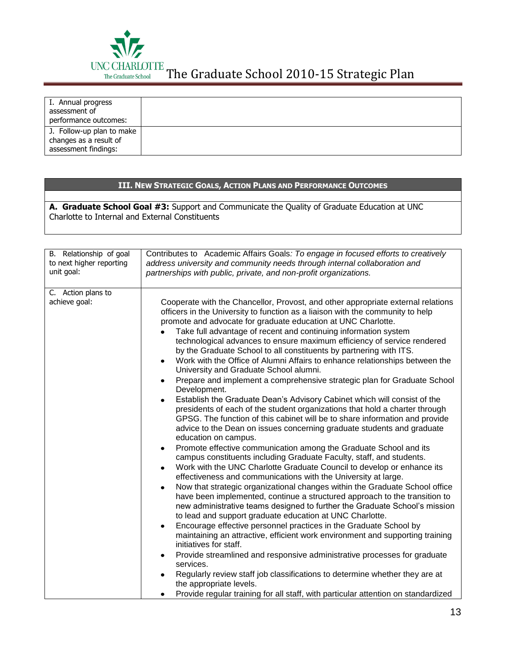

| I. Annual progress<br>assessment of<br>performance outcomes:                |  |
|-----------------------------------------------------------------------------|--|
| J. Follow-up plan to make<br>changes as a result of<br>assessment findings: |  |

## **III. NEW STRATEGIC GOALS, ACTION PLANS AND PERFORMANCE OUTCOMES**

**A. Graduate School Goal #3:** Support and Communicate the Quality of Graduate Education at UNC Charlotte to Internal and External Constituents

| B. Relationship of goal<br>to next higher reporting<br>unit goal: | Contributes to Academic Affairs Goals: To engage in focused efforts to creatively<br>address university and community needs through internal collaboration and<br>partnerships with public, private, and non-profit organizations.                                                                                                                                                                                                                                                                                                                                                                                                                                                                                                                                                                                                                                                                                                                                                                                                                                                                                                                                                                                                                                                                                                                                                                                                                                                                                                                                                                                                                                                                                                                                                                                                                                                                                                                                                                                                                                                                                                                                |
|-------------------------------------------------------------------|-------------------------------------------------------------------------------------------------------------------------------------------------------------------------------------------------------------------------------------------------------------------------------------------------------------------------------------------------------------------------------------------------------------------------------------------------------------------------------------------------------------------------------------------------------------------------------------------------------------------------------------------------------------------------------------------------------------------------------------------------------------------------------------------------------------------------------------------------------------------------------------------------------------------------------------------------------------------------------------------------------------------------------------------------------------------------------------------------------------------------------------------------------------------------------------------------------------------------------------------------------------------------------------------------------------------------------------------------------------------------------------------------------------------------------------------------------------------------------------------------------------------------------------------------------------------------------------------------------------------------------------------------------------------------------------------------------------------------------------------------------------------------------------------------------------------------------------------------------------------------------------------------------------------------------------------------------------------------------------------------------------------------------------------------------------------------------------------------------------------------------------------------------------------|
| C. Action plans to<br>achieve goal:                               | Cooperate with the Chancellor, Provost, and other appropriate external relations<br>officers in the University to function as a liaison with the community to help<br>promote and advocate for graduate education at UNC Charlotte.<br>Take full advantage of recent and continuing information system<br>technological advances to ensure maximum efficiency of service rendered<br>by the Graduate School to all constituents by partnering with ITS.<br>Work with the Office of Alumni Affairs to enhance relationships between the<br>$\bullet$<br>University and Graduate School alumni.<br>Prepare and implement a comprehensive strategic plan for Graduate School<br>$\bullet$<br>Development.<br>Establish the Graduate Dean's Advisory Cabinet which will consist of the<br>$\bullet$<br>presidents of each of the student organizations that hold a charter through<br>GPSG. The function of this cabinet will be to share information and provide<br>advice to the Dean on issues concerning graduate students and graduate<br>education on campus.<br>Promote effective communication among the Graduate School and its<br>$\bullet$<br>campus constituents including Graduate Faculty, staff, and students.<br>Work with the UNC Charlotte Graduate Council to develop or enhance its<br>$\bullet$<br>effectiveness and communications with the University at large.<br>Now that strategic organizational changes within the Graduate School office<br>have been implemented, continue a structured approach to the transition to<br>new administrative teams designed to further the Graduate School's mission<br>to lead and support graduate education at UNC Charlotte.<br>Encourage effective personnel practices in the Graduate School by<br>maintaining an attractive, efficient work environment and supporting training<br>initiatives for staff.<br>Provide streamlined and responsive administrative processes for graduate<br>services.<br>Regularly review staff job classifications to determine whether they are at<br>the appropriate levels.<br>Provide regular training for all staff, with particular attention on standardized |
|                                                                   |                                                                                                                                                                                                                                                                                                                                                                                                                                                                                                                                                                                                                                                                                                                                                                                                                                                                                                                                                                                                                                                                                                                                                                                                                                                                                                                                                                                                                                                                                                                                                                                                                                                                                                                                                                                                                                                                                                                                                                                                                                                                                                                                                                   |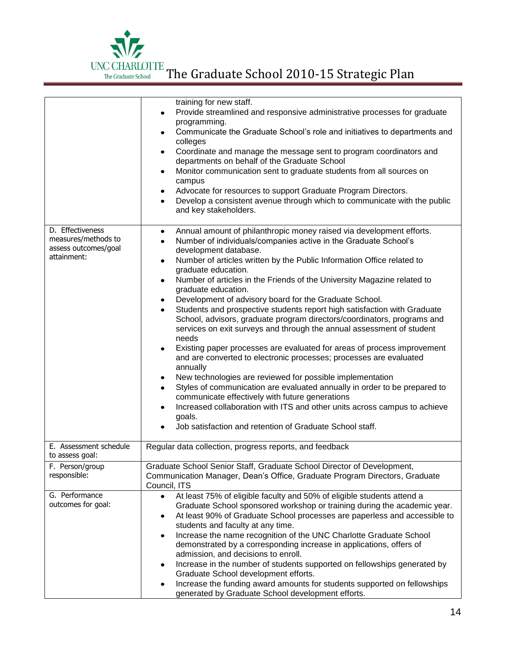

|                                                                                | training for new staff.<br>Provide streamlined and responsive administrative processes for graduate<br>programming.<br>Communicate the Graduate School's role and initiatives to departments and<br>colleges<br>Coordinate and manage the message sent to program coordinators and<br>٠<br>departments on behalf of the Graduate School<br>Monitor communication sent to graduate students from all sources on<br>٠<br>campus<br>Advocate for resources to support Graduate Program Directors.<br>٠<br>Develop a consistent avenue through which to communicate with the public<br>$\bullet$<br>and key stakeholders.                                                                                                                                                                                                                                                                                                                                                                                                                                                                                                                                                                                                                                                            |
|--------------------------------------------------------------------------------|----------------------------------------------------------------------------------------------------------------------------------------------------------------------------------------------------------------------------------------------------------------------------------------------------------------------------------------------------------------------------------------------------------------------------------------------------------------------------------------------------------------------------------------------------------------------------------------------------------------------------------------------------------------------------------------------------------------------------------------------------------------------------------------------------------------------------------------------------------------------------------------------------------------------------------------------------------------------------------------------------------------------------------------------------------------------------------------------------------------------------------------------------------------------------------------------------------------------------------------------------------------------------------|
| D. Effectiveness<br>measures/methods to<br>assess outcomes/goal<br>attainment: | Annual amount of philanthropic money raised via development efforts.<br>٠<br>Number of individuals/companies active in the Graduate School's<br>$\bullet$<br>development database.<br>Number of articles written by the Public Information Office related to<br>$\bullet$<br>graduate education.<br>Number of articles in the Friends of the University Magazine related to<br>$\bullet$<br>graduate education.<br>Development of advisory board for the Graduate School.<br>$\bullet$<br>Students and prospective students report high satisfaction with Graduate<br>School, advisors, graduate program directors/coordinators, programs and<br>services on exit surveys and through the annual assessment of student<br>needs<br>Existing paper processes are evaluated for areas of process improvement<br>$\bullet$<br>and are converted to electronic processes; processes are evaluated<br>annually<br>New technologies are reviewed for possible implementation<br>٠<br>Styles of communication are evaluated annually in order to be prepared to<br>$\bullet$<br>communicate effectively with future generations<br>Increased collaboration with ITS and other units across campus to achieve<br>٠<br>goals.<br>Job satisfaction and retention of Graduate School staff. |
| E. Assessment schedule<br>to assess goal:                                      | Regular data collection, progress reports, and feedback                                                                                                                                                                                                                                                                                                                                                                                                                                                                                                                                                                                                                                                                                                                                                                                                                                                                                                                                                                                                                                                                                                                                                                                                                          |
| F. Person/group<br>responsible:                                                | Graduate School Senior Staff, Graduate School Director of Development,<br>Communication Manager, Dean's Office, Graduate Program Directors, Graduate<br>Council, ITS                                                                                                                                                                                                                                                                                                                                                                                                                                                                                                                                                                                                                                                                                                                                                                                                                                                                                                                                                                                                                                                                                                             |
| G. Performance<br>outcomes for goal:                                           | At least 75% of eligible faculty and 50% of eligible students attend a<br>$\bullet$<br>Graduate School sponsored workshop or training during the academic year.<br>At least 90% of Graduate School processes are paperless and accessible to<br>$\bullet$<br>students and faculty at any time.<br>Increase the name recognition of the UNC Charlotte Graduate School<br>٠<br>demonstrated by a corresponding increase in applications, offers of<br>admission, and decisions to enroll.<br>Increase in the number of students supported on fellowships generated by<br>٠<br>Graduate School development efforts.<br>Increase the funding award amounts for students supported on fellowships<br>generated by Graduate School development efforts.                                                                                                                                                                                                                                                                                                                                                                                                                                                                                                                                |